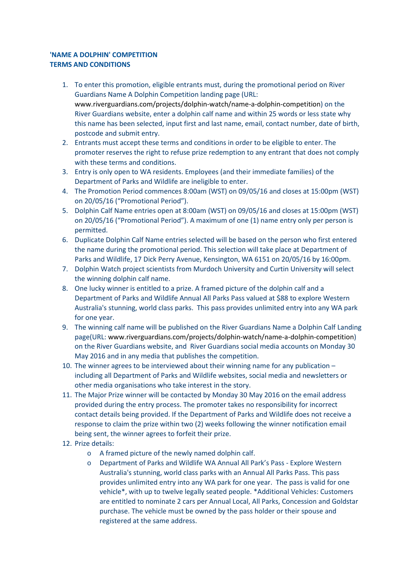## **'NAME A DOLPHIN' COMPETITION TERMS AND CONDITIONS**

- 1. To enter this promotion, eligible entrants must, during the promotional period on River Guardians Name A Dolphin Competition landing page (URL: www.riverguardians.com/projects/dolphin-watch/name-a-dolphin-competition) on the River Guardians website, enter a dolphin calf name and within 25 words or less state why this name has been selected, input first and last name, email, contact number, date of birth, postcode and submit entry.
- 2. Entrants must accept these terms and conditions in order to be eligible to enter. The promoter reserves the right to refuse prize redemption to any entrant that does not comply with these terms and conditions.
- 3. Entry is only open to WA residents. Employees (and their immediate families) of the Department of Parks and Wildlife are ineligible to enter.
- 4. The Promotion Period commences 8:00am (WST) on 09/05/16 and closes at 15:00pm (WST) on 20/05/16 ("Promotional Period").
- 5. Dolphin Calf Name entries open at 8:00am (WST) on 09/05/16 and closes at 15:00pm (WST) on 20/05/16 ("Promotional Period"). A maximum of one (1) name entry only per person is permitted.
- 6. Duplicate Dolphin Calf Name entries selected will be based on the person who first entered the name during the promotional period. This selection will take place at Department of Parks and Wildlife, 17 Dick Perry Avenue, Kensington, WA 6151 on 20/05/16 by 16:00pm.
- 7. Dolphin Watch project scientists from Murdoch University and Curtin University will select the winning dolphin calf name.
- 8. One lucky winner is entitled to a prize. A framed picture of the dolphin calf and a Department of Parks and Wildlife Annual All Parks Pass valued at \$88 to explore Western Australia's stunning, world class parks. This pass provides unlimited entry into any WA park for one year.
- 9. The winning calf name will be published on the River Guardians Name a Dolphin Calf Landing page(URL: www.riverguardians.com/projects/dolphin-watch/name-a-dolphin-competition) on the River Guardians website, and River Guardians social media accounts on Monday 30 May 2016 and in any media that publishes the competition.
- 10. The winner agrees to be interviewed about their winning name for any publication including all Department of Parks and Wildlife websites, social media and newsletters or other media organisations who take interest in the story.
- 11. The Major Prize winner will be contacted by Monday 30 May 2016 on the email address provided during the entry process. The promoter takes no responsibility for incorrect contact details being provided. If the Department of Parks and Wildlife does not receive a response to claim the prize within two (2) weeks following the winner notification email being sent, the winner agrees to forfeit their prize.
- 12. Prize details:
	- o A framed picture of the newly named dolphin calf.
	- o Department of Parks and Wildlife WA Annual All Park's Pass Explore Western Australia's stunning, world class parks with an Annual All Parks Pass. This pass provides unlimited entry into any WA park for one year. The pass is valid for one vehicle\*, with up to twelve legally seated people. \*Additional Vehicles: Customers are entitled to nominate 2 cars per Annual Local, All Parks, Concession and Goldstar purchase. The vehicle must be owned by the pass holder or their spouse and registered at the same address.